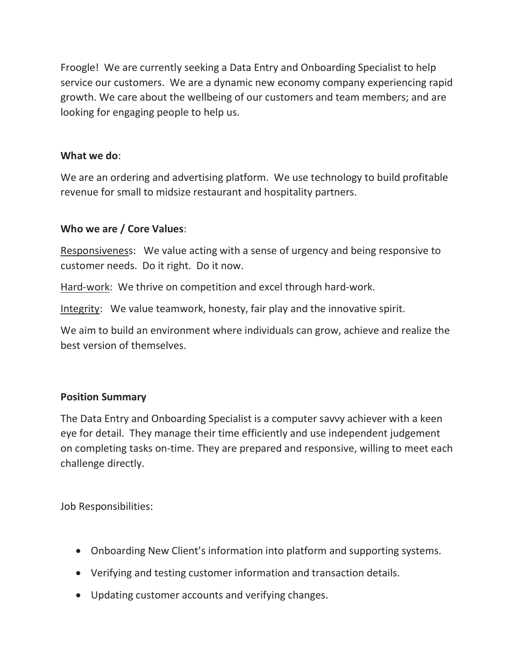Froogle! We are currently seeking a Data Entry and Onboarding Specialist to help service our customers. We are a dynamic new economy company experiencing rapid growth. We care about the wellbeing of our customers and team members; and are looking for engaging people to help us.

## What we do:

We are an ordering and advertising platform. We use technology to build profitable revenue for small to midsize restaurant and hospitality partners.

## Who we are / Core Values:

Responsiveness: We value acting with a sense of urgency and being responsive to customer needs. Do it right. Do it now.

Hard-work: We thrive on competition and excel through hard-work.

Integrity: We value teamwork, honesty, fair play and the innovative spirit.

We aim to build an environment where individuals can grow, achieve and realize the best version of themselves.

## Position Summary

The Data Entry and Onboarding Specialist is a computer savvy achiever with a keen eye for detail. They manage their time efficiently and use independent judgement on completing tasks on-time. They are prepared and responsive, willing to meet each challenge directly.

Job Responsibilities:

- Onboarding New Client's information into platform and supporting systems.
- Verifying and testing customer information and transaction details.
- Updating customer accounts and verifying changes.